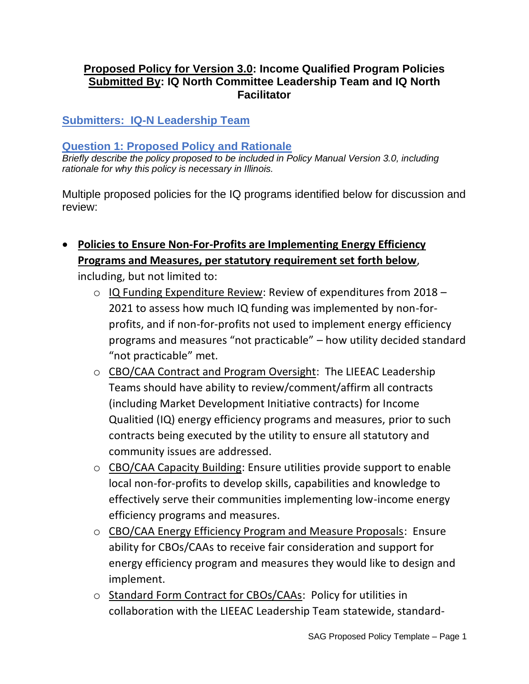### **Proposed Policy for Version 3.0: Income Qualified Program Policies Submitted By: IQ North Committee Leadership Team and IQ North Facilitator**

**Submitters: IQ-N Leadership Team**

### **Question 1: Proposed Policy and Rationale**

*Briefly describe the policy proposed to be included in Policy Manual Version 3.0, including rationale for why this policy is necessary in Illinois.* 

Multiple proposed policies for the IQ programs identified below for discussion and review:

• **Policies to Ensure Non-For-Profits are Implementing Energy Efficiency Programs and Measures, per statutory requirement set forth below**,

including, but not limited to:

- o IQ Funding Expenditure Review: Review of expenditures from 2018 2021 to assess how much IQ funding was implemented by non-forprofits, and if non-for-profits not used to implement energy efficiency programs and measures "not practicable" – how utility decided standard "not practicable" met.
- o CBO/CAA Contract and Program Oversight: The LIEEAC Leadership Teams should have ability to review/comment/affirm all contracts (including Market Development Initiative contracts) for Income Qualitied (IQ) energy efficiency programs and measures, prior to such contracts being executed by the utility to ensure all statutory and community issues are addressed.
- o CBO/CAA Capacity Building: Ensure utilities provide support to enable local non-for-profits to develop skills, capabilities and knowledge to effectively serve their communities implementing low-income energy efficiency programs and measures.
- o CBO/CAA Energy Efficiency Program and Measure Proposals: Ensure ability for CBOs/CAAs to receive fair consideration and support for energy efficiency program and measures they would like to design and implement.
- o Standard Form Contract for CBOs/CAAs: Policy for utilities in collaboration with the LIEEAC Leadership Team statewide, standard-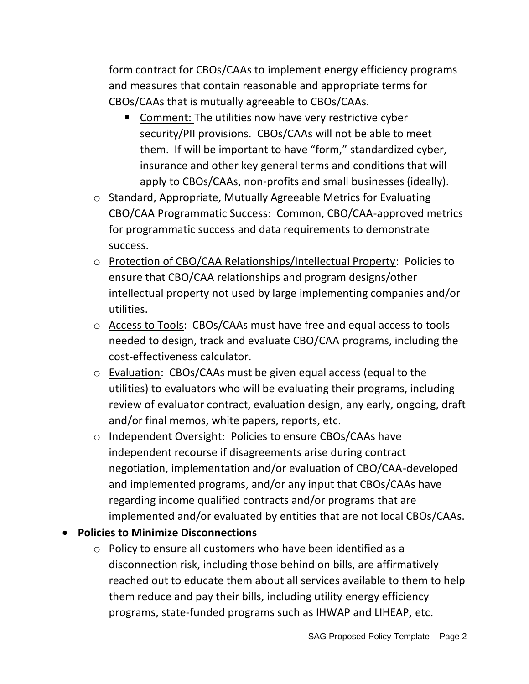form contract for CBOs/CAAs to implement energy efficiency programs and measures that contain reasonable and appropriate terms for CBOs/CAAs that is mutually agreeable to CBOs/CAAs.

- Comment: The utilities now have very restrictive cyber security/PII provisions. CBOs/CAAs will not be able to meet them. If will be important to have "form," standardized cyber, insurance and other key general terms and conditions that will apply to CBOs/CAAs, non-profits and small businesses (ideally).
- o Standard, Appropriate, Mutually Agreeable Metrics for Evaluating CBO/CAA Programmatic Success: Common, CBO/CAA-approved metrics for programmatic success and data requirements to demonstrate success.
- o Protection of CBO/CAA Relationships/Intellectual Property: Policies to ensure that CBO/CAA relationships and program designs/other intellectual property not used by large implementing companies and/or utilities.
- o Access to Tools: CBOs/CAAs must have free and equal access to tools needed to design, track and evaluate CBO/CAA programs, including the cost-effectiveness calculator.
- o Evaluation: CBOs/CAAs must be given equal access (equal to the utilities) to evaluators who will be evaluating their programs, including review of evaluator contract, evaluation design, any early, ongoing, draft and/or final memos, white papers, reports, etc.
- o Independent Oversight: Policies to ensure CBOs/CAAs have independent recourse if disagreements arise during contract negotiation, implementation and/or evaluation of CBO/CAA-developed and implemented programs, and/or any input that CBOs/CAAs have regarding income qualified contracts and/or programs that are implemented and/or evaluated by entities that are not local CBOs/CAAs.

## • **Policies to Minimize Disconnections**

o Policy to ensure all customers who have been identified as a disconnection risk, including those behind on bills, are affirmatively reached out to educate them about all services available to them to help them reduce and pay their bills, including utility energy efficiency programs, state-funded programs such as IHWAP and LIHEAP, etc.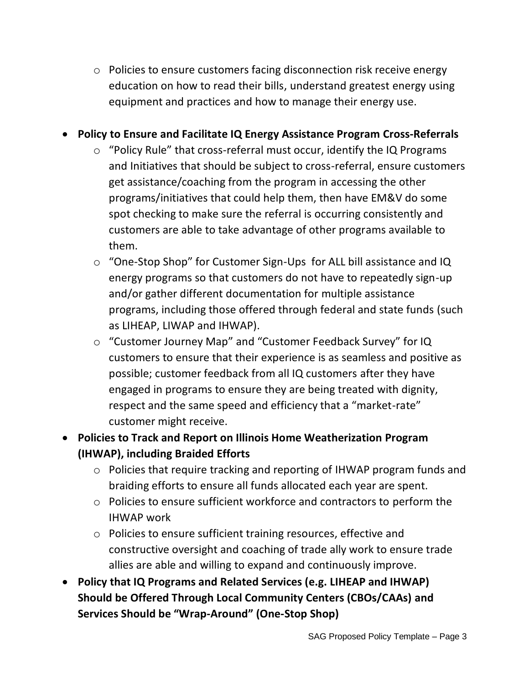o Policies to ensure customers facing disconnection risk receive energy education on how to read their bills, understand greatest energy using equipment and practices and how to manage their energy use.

# • **Policy to Ensure and Facilitate IQ Energy Assistance Program Cross-Referrals**

- o "Policy Rule" that cross-referral must occur, identify the IQ Programs and Initiatives that should be subject to cross-referral, ensure customers get assistance/coaching from the program in accessing the other programs/initiatives that could help them, then have EM&V do some spot checking to make sure the referral is occurring consistently and customers are able to take advantage of other programs available to them.
- o "One-Stop Shop" for Customer Sign-Ups for ALL bill assistance and IQ energy programs so that customers do not have to repeatedly sign-up and/or gather different documentation for multiple assistance programs, including those offered through federal and state funds (such as LIHEAP, LIWAP and IHWAP).
- o "Customer Journey Map" and "Customer Feedback Survey" for IQ customers to ensure that their experience is as seamless and positive as possible; customer feedback from all IQ customers after they have engaged in programs to ensure they are being treated with dignity, respect and the same speed and efficiency that a "market-rate" customer might receive.
- **Policies to Track and Report on Illinois Home Weatherization Program (IHWAP), including Braided Efforts**
	- o Policies that require tracking and reporting of IHWAP program funds and braiding efforts to ensure all funds allocated each year are spent.
	- o Policies to ensure sufficient workforce and contractors to perform the IHWAP work
	- o Policies to ensure sufficient training resources, effective and constructive oversight and coaching of trade ally work to ensure trade allies are able and willing to expand and continuously improve.
- **Policy that IQ Programs and Related Services (e.g. LIHEAP and IHWAP) Should be Offered Through Local Community Centers (CBOs/CAAs) and Services Should be "Wrap-Around" (One-Stop Shop)**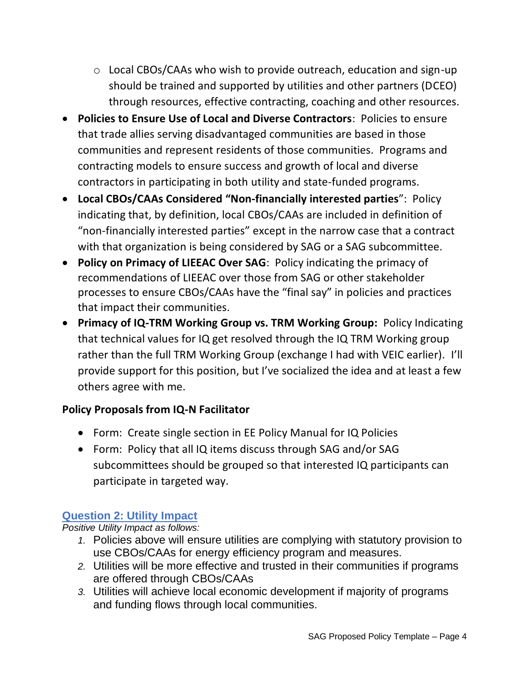- o Local CBOs/CAAs who wish to provide outreach, education and sign-up should be trained and supported by utilities and other partners (DCEO) through resources, effective contracting, coaching and other resources.
- **Policies to Ensure Use of Local and Diverse Contractors**: Policies to ensure that trade allies serving disadvantaged communities are based in those communities and represent residents of those communities. Programs and contracting models to ensure success and growth of local and diverse contractors in participating in both utility and state-funded programs.
- **Local CBOs/CAAs Considered "Non-financially interested parties**": Policy indicating that, by definition, local CBOs/CAAs are included in definition of "non-financially interested parties" except in the narrow case that a contract with that organization is being considered by SAG or a SAG subcommittee.
- **Policy on Primacy of LIEEAC Over SAG**: Policy indicating the primacy of recommendations of LIEEAC over those from SAG or other stakeholder processes to ensure CBOs/CAAs have the "final say" in policies and practices that impact their communities.
- **Primacy of IQ-TRM Working Group vs. TRM Working Group:** Policy Indicating that technical values for IQ get resolved through the IQ TRM Working group rather than the full TRM Working Group (exchange I had with VEIC earlier). I'll provide support for this position, but I've socialized the idea and at least a few others agree with me.

## **Policy Proposals from IQ-N Facilitator**

- Form: Create single section in EE Policy Manual for IQ Policies
- Form: Policy that all IQ items discuss through SAG and/or SAG subcommittees should be grouped so that interested IQ participants can participate in targeted way.

# **Question 2: Utility Impact**

*Positive Utility Impact as follows:*

- *1.* Policies above will ensure utilities are complying with statutory provision to use CBOs/CAAs for energy efficiency program and measures.
- *2.* Utilities will be more effective and trusted in their communities if programs are offered through CBOs/CAAs
- *3.* Utilities will achieve local economic development if majority of programs and funding flows through local communities.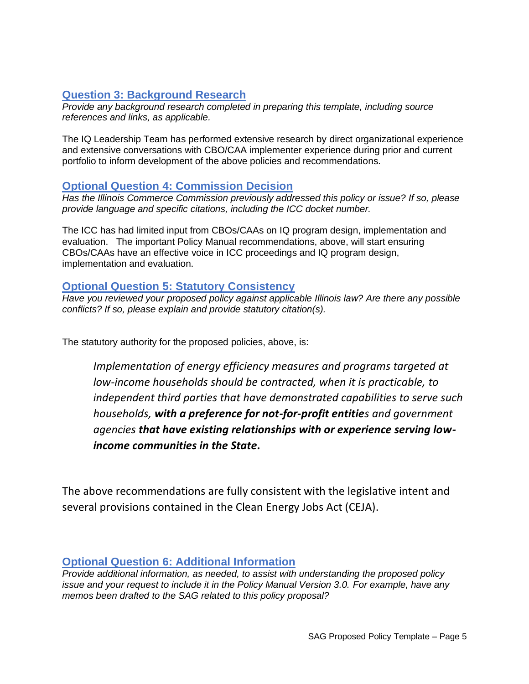## **Question 3: Background Research**

*Provide any background research completed in preparing this template, including source references and links, as applicable.* 

The IQ Leadership Team has performed extensive research by direct organizational experience and extensive conversations with CBO/CAA implementer experience during prior and current portfolio to inform development of the above policies and recommendations.

#### **Optional Question 4: Commission Decision**

*Has the Illinois Commerce Commission previously addressed this policy or issue? If so, please provide language and specific citations, including the ICC docket number.*

The ICC has had limited input from CBOs/CAAs on IQ program design, implementation and evaluation. The important Policy Manual recommendations, above, will start ensuring CBOs/CAAs have an effective voice in ICC proceedings and IQ program design, implementation and evaluation.

### **Optional Question 5: Statutory Consistency**

*Have you reviewed your proposed policy against applicable Illinois law? Are there any possible conflicts? If so, please explain and provide statutory citation(s).*

The statutory authority for the proposed policies, above, is:

*Implementation of energy efficiency measures and programs targeted at low-income households should be contracted, when it is practicable, to independent third parties that have demonstrated capabilities to serve such households, with a preference for not-for-profit entities and government agencies that have existing relationships with or experience serving lowincome communities in the State.*

The above recommendations are fully consistent with the legislative intent and several provisions contained in the Clean Energy Jobs Act (CEJA).

### **Optional Question 6: Additional Information**

*Provide additional information, as needed, to assist with understanding the proposed policy issue and your request to include it in the Policy Manual Version 3.0. For example, have any memos been drafted to the SAG related to this policy proposal?*